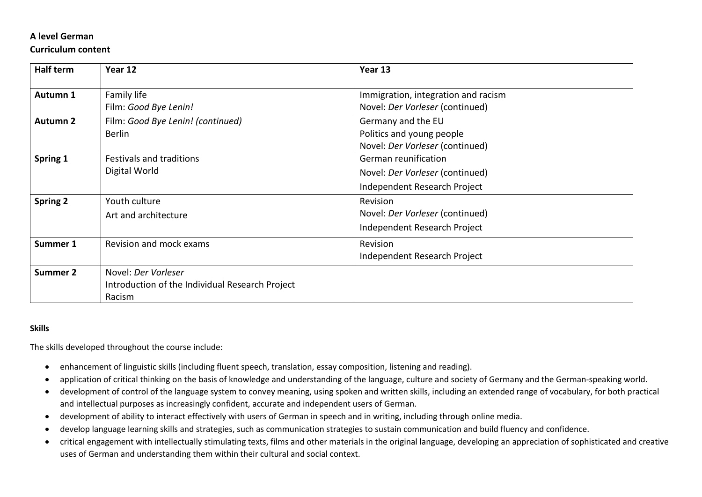## **A level German**

## **Curriculum content**

| <b>Half term</b> | Year 12                                                                          | Year 13                                                                                 |
|------------------|----------------------------------------------------------------------------------|-----------------------------------------------------------------------------------------|
| Autumn 1         | Family life<br>Film: Good Bye Lenin!                                             | Immigration, integration and racism<br>Novel: Der Vorleser (continued)                  |
| <b>Autumn 2</b>  | Film: Good Bye Lenin! (continued)<br><b>Berlin</b>                               | Germany and the EU<br>Politics and young people<br>Novel: Der Vorleser (continued)      |
| Spring 1         | <b>Festivals and traditions</b><br>Digital World                                 | German reunification<br>Novel: Der Vorleser (continued)<br>Independent Research Project |
| <b>Spring 2</b>  | Youth culture<br>Art and architecture                                            | Revision<br>Novel: Der Vorleser (continued)<br>Independent Research Project             |
| Summer 1         | Revision and mock exams                                                          | Revision<br>Independent Research Project                                                |
| <b>Summer 2</b>  | Novel: Der Vorleser<br>Introduction of the Individual Research Project<br>Racism |                                                                                         |

## **Skills**

The skills developed throughout the course include:

- enhancement of linguistic skills (including fluent speech, translation, essay composition, listening and reading).
- application of critical thinking on the basis of knowledge and understanding of the language, culture and society of Germany and the German-speaking world.
- development of control of the language system to convey meaning, using spoken and written skills, including an extended range of vocabulary, for both practical and intellectual purposes as increasingly confident, accurate and independent users of German.
- development of ability to interact effectively with users of German in speech and in writing, including through online media.
- develop language learning skills and strategies, such as communication strategies to sustain communication and build fluency and confidence.
- critical engagement with intellectually stimulating texts, films and other materials in the original language, developing an appreciation of sophisticated and creative uses of German and understanding them within their cultural and social context.